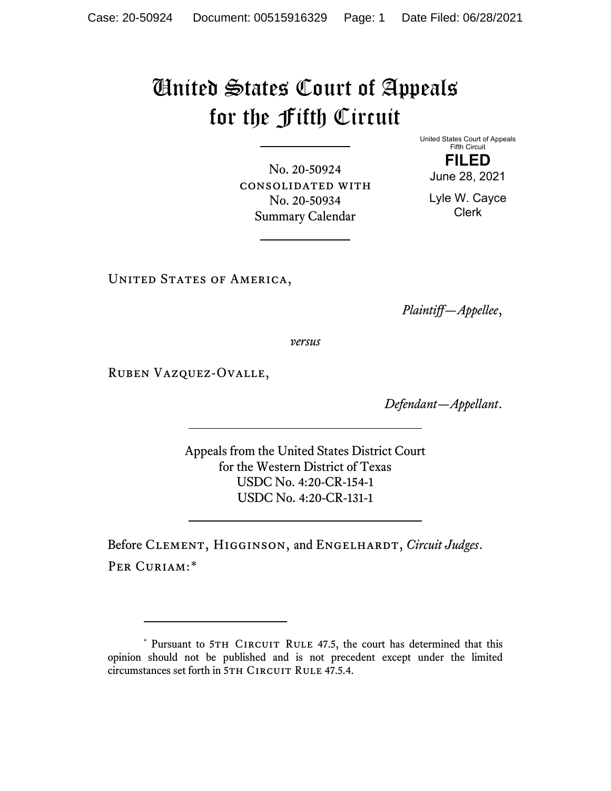## United States Court of Appeals for the Fifth Circuit

United States Court of Appeals Fifth Circuit **FILED**

June 28, 2021

Lyle W. Cayce Clerk

No. 20-50924 consolidated with No. 20-50934 Summary Calendar

UNITED STATES OF AMERICA,

*Plaintiff—Appellee*,

*versus*

Ruben Vazquez-Ovalle,

*Defendant—Appellant*.

Appeals from the United States District Court for the Western District of Texas USDC No. 4:20-CR-154-1 USDC No. 4:20-CR-131-1

Before CLEMENT, HIGGINSON, and ENGELHARDT, *Circuit Judges*. PER CURIAM:[\\*](#page-0-0)

<span id="page-0-0"></span><sup>\*</sup> Pursuant to 5TH CIRCUIT RULE 47.5, the court has determined that this opinion should not be published and is not precedent except under the limited circumstances set forth in 5TH CIRCUIT RULE 47.5.4.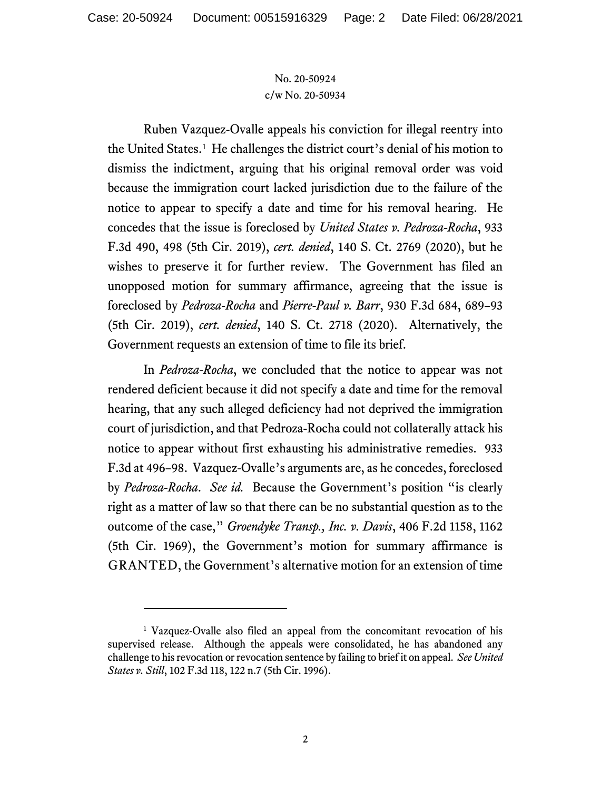## No. 20-50924 c/w No. 20-50934

Ruben Vazquez-Ovalle appeals his conviction for illegal reentry into the United States.<sup>[1](#page-1-0)</sup> He challenges the district court's denial of his motion to dismiss the indictment, arguing that his original removal order was void because the immigration court lacked jurisdiction due to the failure of the notice to appear to specify a date and time for his removal hearing. He concedes that the issue is foreclosed by *United States v. Pedroza-Rocha*, 933 F.3d 490, 498 (5th Cir. 2019), *cert. denied*, 140 S. Ct. 2769 (2020), but he wishes to preserve it for further review. The Government has filed an unopposed motion for summary affirmance, agreeing that the issue is foreclosed by *Pedroza-Rocha* and *Pierre-Paul v. Barr*, 930 F.3d 684, 689–93 (5th Cir. 2019), *cert. denied*, 140 S. Ct. 2718 (2020). Alternatively, the Government requests an extension of time to file its brief.

In *Pedroza-Rocha*, we concluded that the notice to appear was not rendered deficient because it did not specify a date and time for the removal hearing, that any such alleged deficiency had not deprived the immigration court of jurisdiction, and that Pedroza-Rocha could not collaterally attack his notice to appear without first exhausting his administrative remedies. 933 F.3d at 496–98. Vazquez-Ovalle's arguments are, as he concedes, foreclosed by *Pedroza-Rocha*. *See id.* Because the Government's position "is clearly right as a matter of law so that there can be no substantial question as to the outcome of the case," *Groendyke Transp., Inc. v. Davis*, 406 F.2d 1158, 1162 (5th Cir. 1969), the Government's motion for summary affirmance is GRANTED, the Government's alternative motion for an extension of time

<span id="page-1-0"></span><sup>1</sup> Vazquez-Ovalle also filed an appeal from the concomitant revocation of his supervised release. Although the appeals were consolidated, he has abandoned any challenge to his revocation or revocation sentence by failing to brief it on appeal. *See United States v. Still*, 102 F.3d 118, 122 n.7 (5th Cir. 1996).